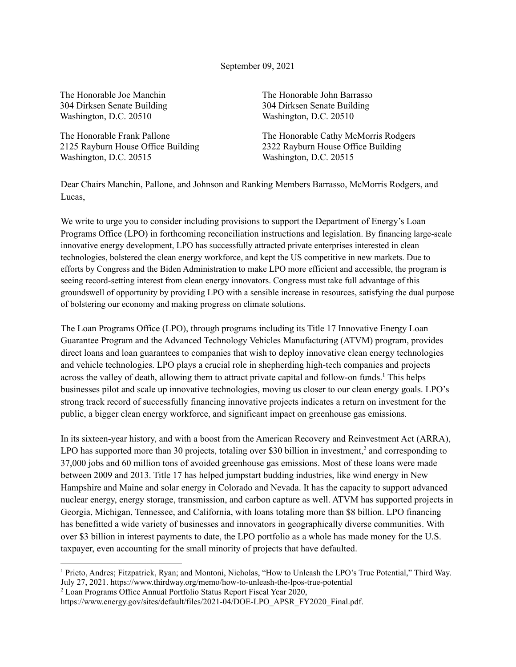September 09, 2021

The Honorable Joe Manchin 304 Dirksen Senate Building Washington, D.C. 20510

The Honorable Frank Pallone 2125 Rayburn House Office Building Washington, D.C. 20515

The Honorable John Barrasso 304 Dirksen Senate Building Washington, D.C. 20510

The Honorable Cathy McMorris Rodgers 2322 Rayburn House Office Building Washington, D.C. 20515

Dear Chairs Manchin, Pallone, and Johnson and Ranking Members Barrasso, McMorris Rodgers, and Lucas,

We write to urge you to consider including provisions to support the Department of Energy's Loan Programs Office (LPO) in forthcoming reconciliation instructions and legislation. By financing large-scale innovative energy development, LPO has successfully attracted private enterprises interested in clean technologies, bolstered the clean energy workforce, and kept the US competitive in new markets. Due to efforts by Congress and the Biden Administration to make LPO more efficient and accessible, the program is seeing record-setting interest from clean energy innovators. Congress must take full advantage of this groundswell of opportunity by providing LPO with a sensible increase in resources, satisfying the dual purpose of bolstering our economy and making progress on climate solutions.

The Loan Programs Office (LPO), through programs including its Title 17 Innovative Energy Loan Guarantee Program and the Advanced Technology Vehicles Manufacturing (ATVM) program, provides direct loans and loan guarantees to companies that wish to deploy innovative clean energy technologies and vehicle technologies. LPO plays a crucial role in shepherding high-tech companies and projects across the valley of death, allowing them to attract private capital and follow-on funds. <sup>1</sup> This helps businesses pilot and scale up innovative technologies, moving us closer to our clean energy goals. LPO's strong track record of successfully financing innovative projects indicates a return on investment for the public, a bigger clean energy workforce, and significant impact on greenhouse gas emissions.

In its sixteen-year history, and with a boost from the American Recovery and Reinvestment Act (ARRA), LPO has supported more than 30 projects, totaling over \$30 billion in investment,<sup>2</sup> and corresponding to 37,000 jobs and 60 million tons of avoided greenhouse gas emissions. Most of these loans were made between 2009 and 2013. Title 17 has helped jumpstart budding industries, like wind energy in New Hampshire and Maine and solar energy in Colorado and Nevada. It has the capacity to support advanced nuclear energy, energy storage, transmission, and carbon capture as well. ATVM has supported projects in Georgia, Michigan, Tennessee, and California, with loans totaling more than \$8 billion. LPO financing has benefitted a wide variety of businesses and innovators in geographically diverse communities. With over \$3 billion in interest payments to date, the LPO portfolio as a whole has made money for the U.S. taxpayer, even accounting for the small minority of projects that have defaulted.

<sup>2</sup> Loan Programs Office Annual Portfolio Status Report Fiscal Year 2020,

<sup>1</sup> Prieto, Andres; Fitzpatrick, Ryan; and Montoni, Nicholas, "How to Unleash the LPO's True Potential," Third Way. July 27, 2021. https://www.thirdway.org/memo/how-to-unleash-the-lpos-true-potential

https://www.energy.gov/sites/default/files/2021-04/DOE-LPO\_APSR\_FY2020\_Final.pdf.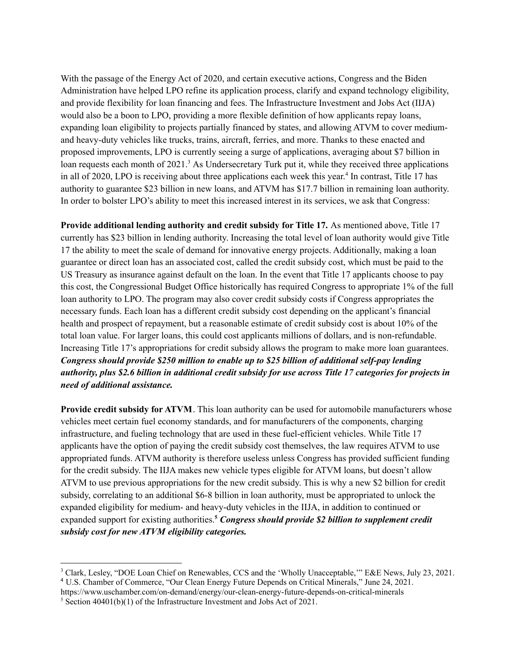With the passage of the Energy Act of 2020, and certain executive actions, Congress and the Biden Administration have helped LPO refine its application process, clarify and expand technology eligibility, and provide flexibility for loan financing and fees. The Infrastructure Investment and Jobs Act (IIJA) would also be a boon to LPO, providing a more flexible definition of how applicants repay loans, expanding loan eligibility to projects partially financed by states, and allowing ATVM to cover mediumand heavy-duty vehicles like trucks, trains, aircraft, ferries, and more. Thanks to these enacted and proposed improvements, LPO is currently seeing a surge of applications, averaging about \$7 billion in loan requests each month of 2021.<sup>3</sup> As Undersecretary Turk put it, while they received three applications in all of 2020, LPO is receiving about three applications each week this year. 4 In contrast, Title 17 has authority to guarantee \$23 billion in new loans, and ATVM has \$17.7 billion in remaining loan authority. In order to bolster LPO's ability to meet this increased interest in its services, we ask that Congress:

**Provide additional lending authority and credit subsidy for Title 17.** As mentioned above, Title 17 currently has \$23 billion in lending authority. Increasing the total level of loan authority would give Title 17 the ability to meet the scale of demand for innovative energy projects. Additionally, making a loan guarantee or direct loan has an associated cost, called the credit subsidy cost, which must be paid to the US Treasury as insurance against default on the loan. In the event that Title 17 applicants choose to pay this cost, the Congressional Budget Office historically has required Congress to appropriate 1% of the full loan authority to LPO. The program may also cover credit subsidy costs if Congress appropriates the necessary funds. Each loan has a different credit subsidy cost depending on the applicant's financial health and prospect of repayment, but a reasonable estimate of credit subsidy cost is about 10% of the total loan value. For larger loans, this could cost applicants millions of dollars, and is non-refundable. Increasing Title 17's appropriations for credit subsidy allows the program to make more loan guarantees. *Congress should provide \$250 million to enable up to \$25 billion of additional self-pay lending* authority, plus \$2.6 billion in additional credit subsidy for use across Title 17 categories for projects in *need of additional assistance.*

**Provide credit subsidy for ATVM**. This loan authority can be used for automobile manufacturers whose vehicles meet certain fuel economy standards, and for manufacturers of the components, charging infrastructure, and fueling technology that are used in these fuel-efficient vehicles. While Title 17 applicants have the option of paying the credit subsidy cost themselves, the law requires ATVM to use appropriated funds. ATVM authority is therefore useless unless Congress has provided sufficient funding for the credit subsidy. The IIJA makes new vehicle types eligible for ATVM loans, but doesn't allow ATVM to use previous appropriations for the new credit subsidy. This is why a new \$2 billion for credit subsidy, correlating to an additional \$6-8 billion in loan authority, must be appropriated to unlock the expanded eligibility for medium- and heavy-duty vehicles in the IIJA, in addition to continued or expanded support for existing authorities. **<sup>5</sup>** *Congress should provide \$2 billion to supplement credit subsidy cost for new ATVM eligibility categories.*

<sup>4</sup> U.S. Chamber of Commerce, "Our Clean Energy Future Depends on Critical Minerals," June 24, 2021.

<sup>3</sup> Clark, Lesley, "DOE Loan Chief on Renewables, CCS and the 'Wholly Unacceptable,'" E&E News, July 23, 2021.

https://www.uschamber.com/on-demand/energy/our-clean-energy-future-depends-on-critical-minerals

 $5$  Section 40401(b)(1) of the Infrastructure Investment and Jobs Act of 2021.